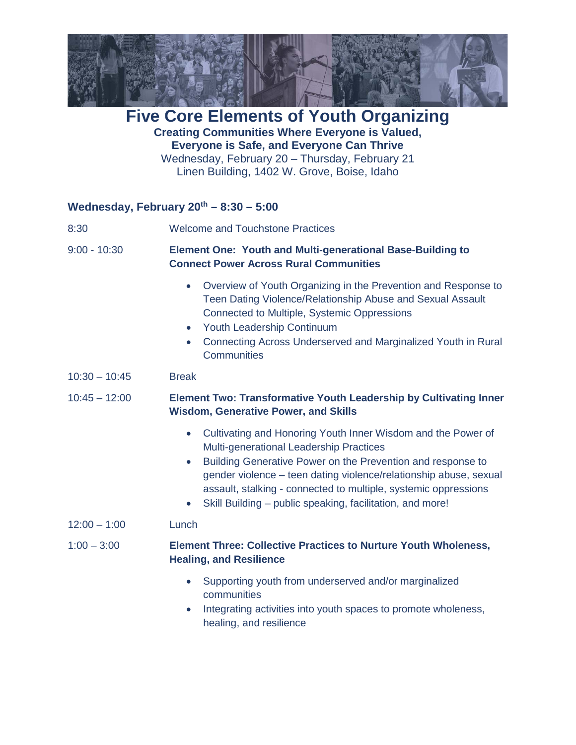

**Five Core Elements of Youth Organizing Creating Communities Where Everyone is Valued, Everyone is Safe, and Everyone Can Thrive** Wednesday, February 20 – Thursday, February 21 Linen Building, 1402 W. Grove, Boise, Idaho

## **Wednesday, February 20th – 8:30 – 5:00**

| 8:30            | <b>Welcome and Touchstone Practices</b>                                                                                                                                                                                                                                                                                                                                                                            |
|-----------------|--------------------------------------------------------------------------------------------------------------------------------------------------------------------------------------------------------------------------------------------------------------------------------------------------------------------------------------------------------------------------------------------------------------------|
| $9:00 - 10:30$  | <b>Element One: Youth and Multi-generational Base-Building to</b><br><b>Connect Power Across Rural Communities</b>                                                                                                                                                                                                                                                                                                 |
|                 | Overview of Youth Organizing in the Prevention and Response to<br>$\bullet$<br>Teen Dating Violence/Relationship Abuse and Sexual Assault<br>Connected to Multiple, Systemic Oppressions<br>Youth Leadership Continuum<br>$\bullet$<br>Connecting Across Underserved and Marginalized Youth in Rural<br><b>Communities</b>                                                                                         |
| $10:30 - 10:45$ | <b>Break</b>                                                                                                                                                                                                                                                                                                                                                                                                       |
| $10:45 - 12:00$ | <b>Element Two: Transformative Youth Leadership by Cultivating Inner</b><br><b>Wisdom, Generative Power, and Skills</b>                                                                                                                                                                                                                                                                                            |
|                 | Cultivating and Honoring Youth Inner Wisdom and the Power of<br>$\bullet$<br>Multi-generational Leadership Practices<br>Building Generative Power on the Prevention and response to<br>$\bullet$<br>gender violence - teen dating violence/relationship abuse, sexual<br>assault, stalking - connected to multiple, systemic oppressions<br>Skill Building - public speaking, facilitation, and more!<br>$\bullet$ |
| $12:00 - 1:00$  | Lunch                                                                                                                                                                                                                                                                                                                                                                                                              |
| $1:00 - 3:00$   | <b>Element Three: Collective Practices to Nurture Youth Wholeness,</b><br><b>Healing, and Resilience</b>                                                                                                                                                                                                                                                                                                           |
|                 | Supporting youth from underserved and/or marginalized<br>$\bullet$<br>communities<br>Integrating activities into youth spaces to promote wholeness,<br>$\bullet$<br>healing, and resilience                                                                                                                                                                                                                        |